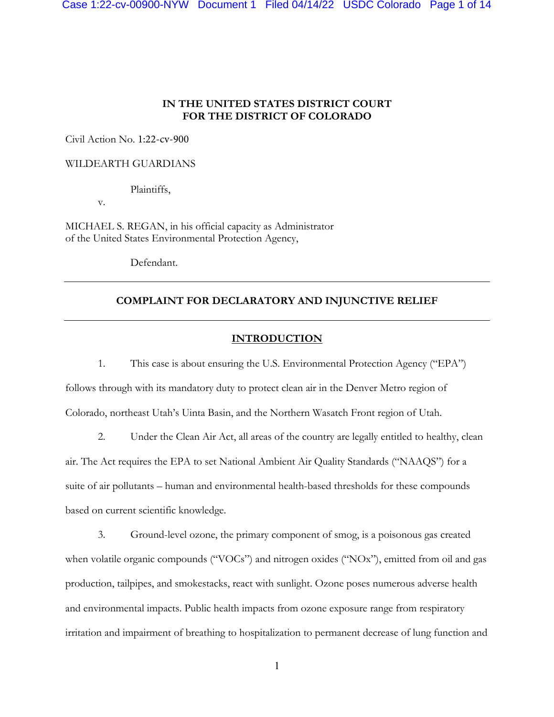# **IN THE UNITED STATES DISTRICT COURT FOR THE DISTRICT OF COLORADO**

Civil Action No. 1:22-cv-900

WILDEARTH GUARDIANS

Plaintiffs,

v.

MICHAEL S. REGAN, in his official capacity as Administrator of the United States Environmental Protection Agency,

Defendant.

# **COMPLAINT FOR DECLARATORY AND INJUNCTIVE RELIEF**

# **INTRODUCTION**

1. This case is about ensuring the U.S. Environmental Protection Agency ("EPA") follows through with its mandatory duty to protect clean air in the Denver Metro region of Colorado, northeast Utah's Uinta Basin, and the Northern Wasatch Front region of Utah.

2. Under the Clean Air Act, all areas of the country are legally entitled to healthy, clean air. The Act requires the EPA to set National Ambient Air Quality Standards ("NAAQS") for a suite of air pollutants – human and environmental health-based thresholds for these compounds based on current scientific knowledge.

3. Ground-level ozone, the primary component of smog, is a poisonous gas created when volatile organic compounds ("VOCs") and nitrogen oxides ("NOx"), emitted from oil and gas production, tailpipes, and smokestacks, react with sunlight. Ozone poses numerous adverse health and environmental impacts. Public health impacts from ozone exposure range from respiratory irritation and impairment of breathing to hospitalization to permanent decrease of lung function and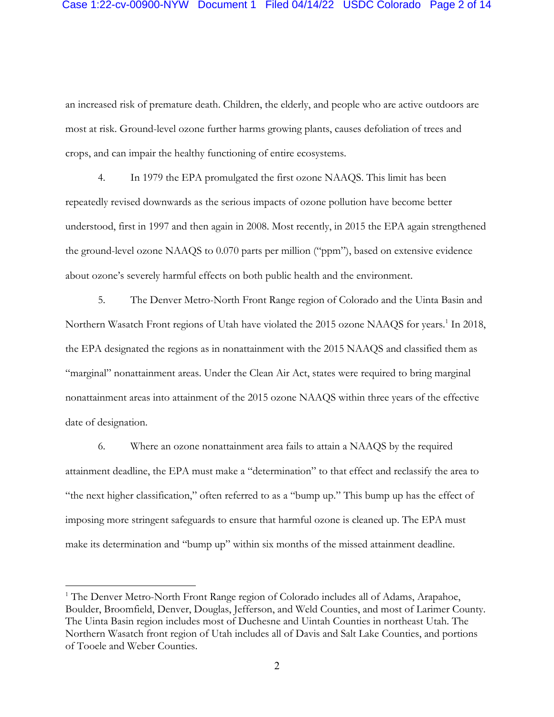an increased risk of premature death. Children, the elderly, and people who are active outdoors are most at risk. Ground-level ozone further harms growing plants, causes defoliation of trees and crops, and can impair the healthy functioning of entire ecosystems.

4. In 1979 the EPA promulgated the first ozone NAAQS. This limit has been repeatedly revised downwards as the serious impacts of ozone pollution have become better understood, first in 1997 and then again in 2008. Most recently, in 2015 the EPA again strengthened the ground-level ozone NAAQS to 0.070 parts per million ("ppm"), based on extensive evidence about ozone's severely harmful effects on both public health and the environment.

5. The Denver Metro-North Front Range region of Colorado and the Uinta Basin and Northern Wasatch Front regions of Utah have violated the 2015 ozone NAAQS for years.<sup>1</sup> In 2018, the EPA designated the regions as in nonattainment with the 2015 NAAQS and classified them as "marginal" nonattainment areas. Under the Clean Air Act, states were required to bring marginal nonattainment areas into attainment of the 2015 ozone NAAQS within three years of the effective date of designation.

6. Where an ozone nonattainment area fails to attain a NAAQS by the required attainment deadline, the EPA must make a "determination" to that effect and reclassify the area to "the next higher classification," often referred to as a "bump up." This bump up has the effect of imposing more stringent safeguards to ensure that harmful ozone is cleaned up. The EPA must make its determination and "bump up" within six months of the missed attainment deadline.

<sup>&</sup>lt;sup>1</sup> The Denver Metro-North Front Range region of Colorado includes all of Adams, Arapahoe, Boulder, Broomfield, Denver, Douglas, Jefferson, and Weld Counties, and most of Larimer County. The Uinta Basin region includes most of Duchesne and Uintah Counties in northeast Utah. The Northern Wasatch front region of Utah includes all of Davis and Salt Lake Counties, and portions of Tooele and Weber Counties.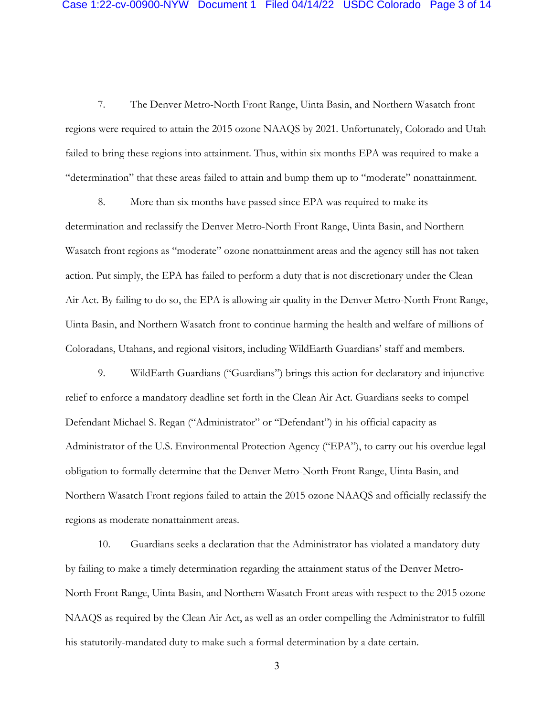7. The Denver Metro-North Front Range, Uinta Basin, and Northern Wasatch front regions were required to attain the 2015 ozone NAAQS by 2021. Unfortunately, Colorado and Utah failed to bring these regions into attainment. Thus, within six months EPA was required to make a "determination" that these areas failed to attain and bump them up to "moderate" nonattainment.

8. More than six months have passed since EPA was required to make its determination and reclassify the Denver Metro-North Front Range, Uinta Basin, and Northern Wasatch front regions as "moderate" ozone nonattainment areas and the agency still has not taken action. Put simply, the EPA has failed to perform a duty that is not discretionary under the Clean Air Act. By failing to do so, the EPA is allowing air quality in the Denver Metro-North Front Range, Uinta Basin, and Northern Wasatch front to continue harming the health and welfare of millions of Coloradans, Utahans, and regional visitors, including WildEarth Guardians' staff and members.

9. WildEarth Guardians ("Guardians") brings this action for declaratory and injunctive relief to enforce a mandatory deadline set forth in the Clean Air Act. Guardians seeks to compel Defendant Michael S. Regan ("Administrator" or "Defendant") in his official capacity as Administrator of the U.S. Environmental Protection Agency ("EPA"), to carry out his overdue legal obligation to formally determine that the Denver Metro-North Front Range, Uinta Basin, and Northern Wasatch Front regions failed to attain the 2015 ozone NAAQS and officially reclassify the regions as moderate nonattainment areas.

10. Guardians seeks a declaration that the Administrator has violated a mandatory duty by failing to make a timely determination regarding the attainment status of the Denver Metro-North Front Range, Uinta Basin, and Northern Wasatch Front areas with respect to the 2015 ozone NAAQS as required by the Clean Air Act, as well as an order compelling the Administrator to fulfill his statutorily-mandated duty to make such a formal determination by a date certain.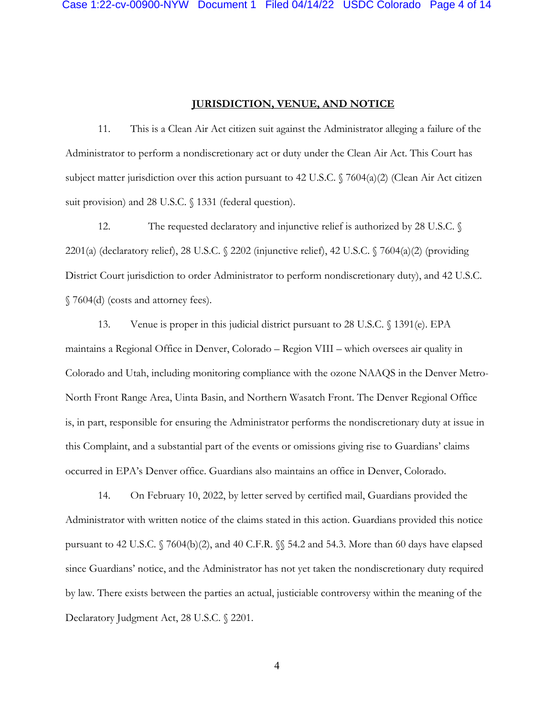### **JURISDICTION, VENUE, AND NOTICE**

11. This is a Clean Air Act citizen suit against the Administrator alleging a failure of the Administrator to perform a nondiscretionary act or duty under the Clean Air Act. This Court has subject matter jurisdiction over this action pursuant to 42 U.S.C. § 7604(a)(2) (Clean Air Act citizen suit provision) and 28 U.S.C. § 1331 (federal question).

12. The requested declaratory and injunctive relief is authorized by 28 U.S.C. 2201(a) (declaratory relief), 28 U.S.C. § 2202 (injunctive relief), 42 U.S.C. § 7604(a)(2) (providing District Court jurisdiction to order Administrator to perform nondiscretionary duty), and 42 U.S.C. § 7604(d) (costs and attorney fees).

13. Venue is proper in this judicial district pursuant to 28 U.S.C. § 1391(e). EPA maintains a Regional Office in Denver, Colorado – Region VIII – which oversees air quality in Colorado and Utah, including monitoring compliance with the ozone NAAQS in the Denver Metro-North Front Range Area, Uinta Basin, and Northern Wasatch Front. The Denver Regional Office is, in part, responsible for ensuring the Administrator performs the nondiscretionary duty at issue in this Complaint, and a substantial part of the events or omissions giving rise to Guardians' claims occurred in EPA's Denver office. Guardians also maintains an office in Denver, Colorado.

14. On February 10, 2022, by letter served by certified mail, Guardians provided the Administrator with written notice of the claims stated in this action. Guardians provided this notice pursuant to 42 U.S.C. § 7604(b)(2), and 40 C.F.R. §§ 54.2 and 54.3. More than 60 days have elapsed since Guardians' notice, and the Administrator has not yet taken the nondiscretionary duty required by law. There exists between the parties an actual, justiciable controversy within the meaning of the Declaratory Judgment Act, 28 U.S.C. § 2201.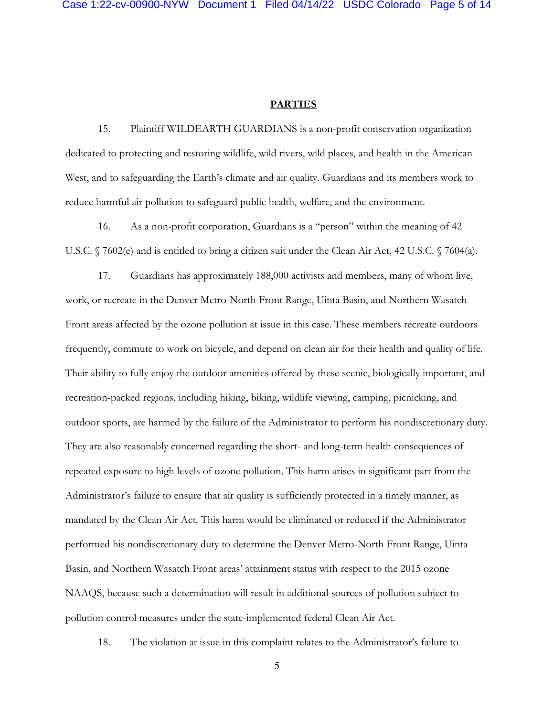# **PARTIES**

15. Plaintiff WILDEARTH GUARDIANS is a non-profit conservation organization dedicated to protecting and restoring wildlife, wild rivers, wild places, and health in the American West, and to safeguarding the Earth's climate and air quality. Guardians and its members work to reduce harmful air pollution to safeguard public health, welfare, and the environment.

16. As a non-profit corporation, Guardians is a "person" within the meaning of 42 U.S.C. § 7602(e) and is entitled to bring a citizen suit under the Clean Air Act, 42 U.S.C. § 7604(a).

17. Guardians has approximately 188,000 activists and members, many of whom live, work, or recreate in the Denver Metro-North Front Range, Uinta Basin, and Northern Wasatch Front areas affected by the ozone pollution at issue in this case. These members recreate outdoors frequently, commute to work on bicycle, and depend on clean air for their health and quality of life. Their ability to fully enjoy the outdoor amenities offered by these scenic, biologically important, and recreation-packed regions, including hiking, biking, wildlife viewing, camping, picnicking, and outdoor sports, are harmed by the failure of the Administrator to perform his nondiscretionary duty. They are also reasonably concerned regarding the short- and long-term health consequences of repeated exposure to high levels of ozone pollution. This harm arises in significant part from the Administrator's failure to ensure that air quality is sufficiently protected in a timely manner, as mandated by the Clean Air Act. This harm would be eliminated or reduced if the Administrator performed his nondiscretionary duty to determine the Denver Metro-North Front Range, Uinta Basin, and Northern Wasatch Front areas' attainment status with respect to the 2015 ozone NAAQS, because such a determination will result in additional sources of pollution subject to pollution control measures under the state-implemented federal Clean Air Act.

18. The violation at issue in this complaint relates to the Administrator's failure to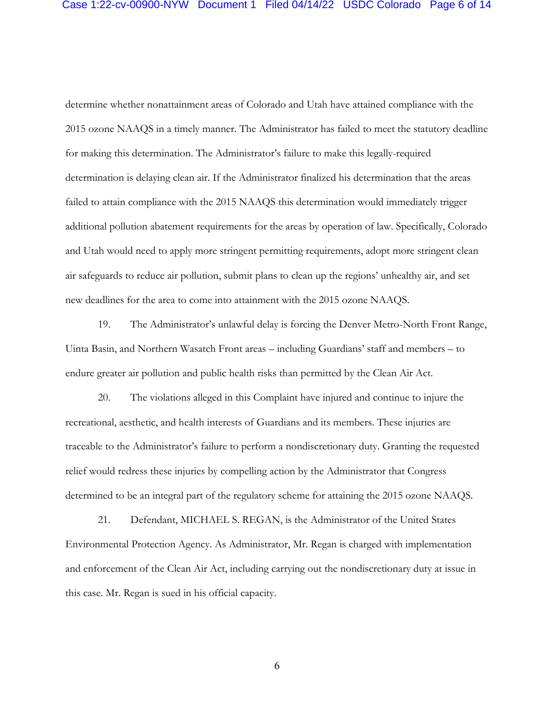determine whether nonattainment areas of Colorado and Utah have attained compliance with the 2015 ozone NAAQS in a timely manner. The Administrator has failed to meet the statutory deadline for making this determination. The Administrator's failure to make this legally-required determination is delaying clean air. If the Administrator finalized his determination that the areas failed to attain compliance with the 2015 NAAQS this determination would immediately trigger additional pollution abatement requirements for the areas by operation of law. Specifically, Colorado and Utah would need to apply more stringent permitting requirements, adopt more stringent clean air safeguards to reduce air pollution, submit plans to clean up the regions' unhealthy air, and set new deadlines for the area to come into attainment with the 2015 ozone NAAQS.

19. The Administrator's unlawful delay is forcing the Denver Metro-North Front Range, Uinta Basin, and Northern Wasatch Front areas – including Guardians' staff and members – to endure greater air pollution and public health risks than permitted by the Clean Air Act.

20. The violations alleged in this Complaint have injured and continue to injure the recreational, aesthetic, and health interests of Guardians and its members. These injuries are traceable to the Administrator's failure to perform a nondiscretionary duty. Granting the requested relief would redress these injuries by compelling action by the Administrator that Congress determined to be an integral part of the regulatory scheme for attaining the 2015 ozone NAAQS.

21. Defendant, MICHAEL S. REGAN, is the Administrator of the United States Environmental Protection Agency. As Administrator, Mr. Regan is charged with implementation and enforcement of the Clean Air Act, including carrying out the nondiscretionary duty at issue in this case. Mr. Regan is sued in his official capacity.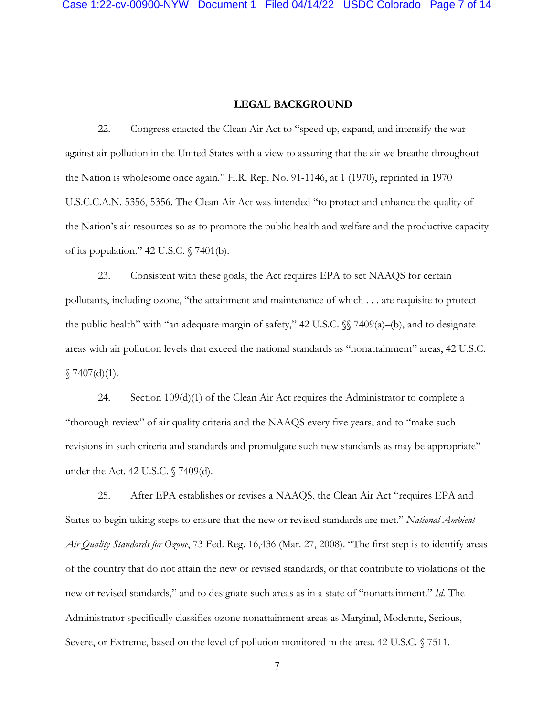### **LEGAL BACKGROUND**

22. Congress enacted the Clean Air Act to "speed up, expand, and intensify the war against air pollution in the United States with a view to assuring that the air we breathe throughout the Nation is wholesome once again." H.R. Rep. No. 91-1146, at 1 (1970), reprinted in 1970 U.S.C.C.A.N. 5356, 5356. The Clean Air Act was intended "to protect and enhance the quality of the Nation's air resources so as to promote the public health and welfare and the productive capacity of its population." 42 U.S.C. § 7401(b).

23. Consistent with these goals, the Act requires EPA to set NAAQS for certain pollutants, including ozone, "the attainment and maintenance of which . . . are requisite to protect the public health" with "an adequate margin of safety," 42 U.S.C.  $\%$  7409(a)–(b), and to designate areas with air pollution levels that exceed the national standards as "nonattainment" areas, 42 U.S.C.  $$7407(d)(1).$ 

24. Section 109(d)(1) of the Clean Air Act requires the Administrator to complete a "thorough review" of air quality criteria and the NAAQS every five years, and to "make such revisions in such criteria and standards and promulgate such new standards as may be appropriate" under the Act. 42 U.S.C. § 7409(d).

25. After EPA establishes or revises a NAAQS, the Clean Air Act "requires EPA and States to begin taking steps to ensure that the new or revised standards are met." *National Ambient Air Quality Standards for Ozone*, 73 Fed. Reg. 16,436 (Mar. 27, 2008). "The first step is to identify areas of the country that do not attain the new or revised standards, or that contribute to violations of the new or revised standards," and to designate such areas as in a state of "nonattainment." *Id*. The Administrator specifically classifies ozone nonattainment areas as Marginal, Moderate, Serious, Severe, or Extreme, based on the level of pollution monitored in the area. 42 U.S.C. § 7511.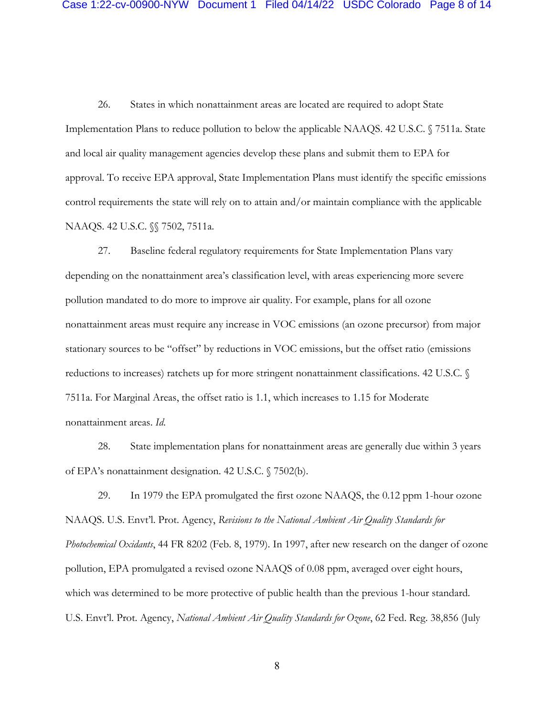26. States in which nonattainment areas are located are required to adopt State Implementation Plans to reduce pollution to below the applicable NAAQS. 42 U.S.C. § 7511a. State and local air quality management agencies develop these plans and submit them to EPA for approval. To receive EPA approval, State Implementation Plans must identify the specific emissions control requirements the state will rely on to attain and/or maintain compliance with the applicable NAAQS. 42 U.S.C. §§ 7502, 7511a.

27. Baseline federal regulatory requirements for State Implementation Plans vary depending on the nonattainment area's classification level, with areas experiencing more severe pollution mandated to do more to improve air quality. For example, plans for all ozone nonattainment areas must require any increase in VOC emissions (an ozone precursor) from major stationary sources to be "offset" by reductions in VOC emissions, but the offset ratio (emissions reductions to increases) ratchets up for more stringent nonattainment classifications. 42 U.S.C. § 7511a. For Marginal Areas, the offset ratio is 1.1, which increases to 1.15 for Moderate nonattainment areas. *Id*.

28. State implementation plans for nonattainment areas are generally due within 3 years of EPA's nonattainment designation. 42 U.S.C. § 7502(b).

29. In 1979 the EPA promulgated the first ozone NAAQS, the 0.12 ppm 1-hour ozone NAAQS. U.S. Envt'l. Prot. Agency, *Revisions to the National Ambient Air Quality Standards for Photochemical Oxidants*, 44 FR 8202 (Feb. 8, 1979). In 1997, after new research on the danger of ozone pollution, EPA promulgated a revised ozone NAAQS of 0.08 ppm, averaged over eight hours, which was determined to be more protective of public health than the previous 1-hour standard. U.S. Envt'l. Prot. Agency, *National Ambient Air Quality Standards for Ozone*, 62 Fed. Reg. 38,856 (July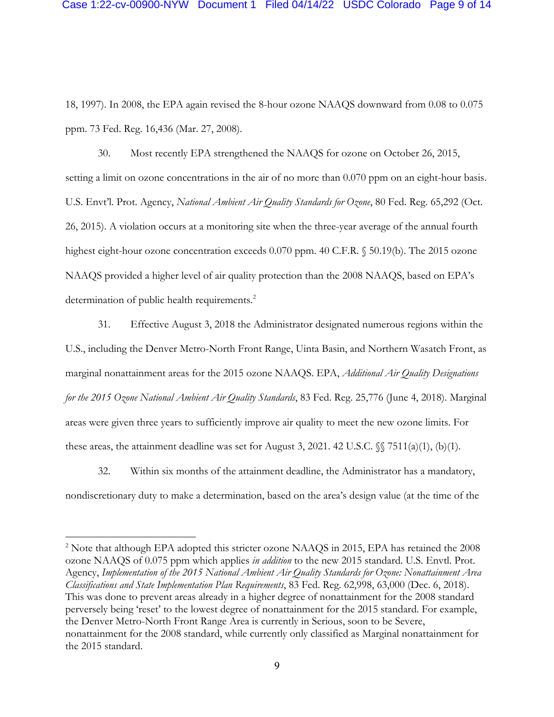18, 1997). In 2008, the EPA again revised the 8-hour ozone NAAQS downward from 0.08 to 0.075 ppm. 73 Fed. Reg. 16,436 (Mar. 27, 2008).

30. Most recently EPA strengthened the NAAQS for ozone on October 26, 2015, setting a limit on ozone concentrations in the air of no more than 0.070 ppm on an eight-hour basis. U.S. Envt'l. Prot. Agency, *National Ambient Air Quality Standards for Ozone*, 80 Fed. Reg. 65,292 (Oct. 26, 2015). A violation occurs at a monitoring site when the three-year average of the annual fourth highest eight-hour ozone concentration exceeds 0.070 ppm. 40 C.F.R. § 50.19(b). The 2015 ozone NAAQS provided a higher level of air quality protection than the 2008 NAAQS, based on EPA's determination of public health requirements.<sup>2</sup>

31. Effective August 3, 2018 the Administrator designated numerous regions within the U.S., including the Denver Metro-North Front Range, Uinta Basin, and Northern Wasatch Front, as marginal nonattainment areas for the 2015 ozone NAAQS. EPA, *Additional Air Quality Designations for the 2015 Ozone National Ambient Air Quality Standards*, 83 Fed. Reg. 25,776 (June 4, 2018). Marginal areas were given three years to sufficiently improve air quality to meet the new ozone limits. For these areas, the attainment deadline was set for August 3, 2021. 42 U.S.C.  $\{\$ 7511(a)(1), (b)(1).$ 

32. Within six months of the attainment deadline, the Administrator has a mandatory, nondiscretionary duty to make a determination, based on the area's design value (at the time of the

<sup>2</sup> Note that although EPA adopted this stricter ozone NAAQS in 2015, EPA has retained the 2008 ozone NAAQS of 0.075 ppm which applies *in addition* to the new 2015 standard. U.S. Envtl. Prot. Agency, *Implementation of the 2015 National Ambient Air Quality Standards for Ozone: Nonattainment Area Classifications and State Implementation Plan Requirements*, 83 Fed. Reg. 62,998, 63,000 (Dec. 6, 2018). This was done to prevent areas already in a higher degree of nonattainment for the 2008 standard perversely being 'reset' to the lowest degree of nonattainment for the 2015 standard. For example, the Denver Metro-North Front Range Area is currently in Serious, soon to be Severe, nonattainment for the 2008 standard, while currently only classified as Marginal nonattainment for the 2015 standard.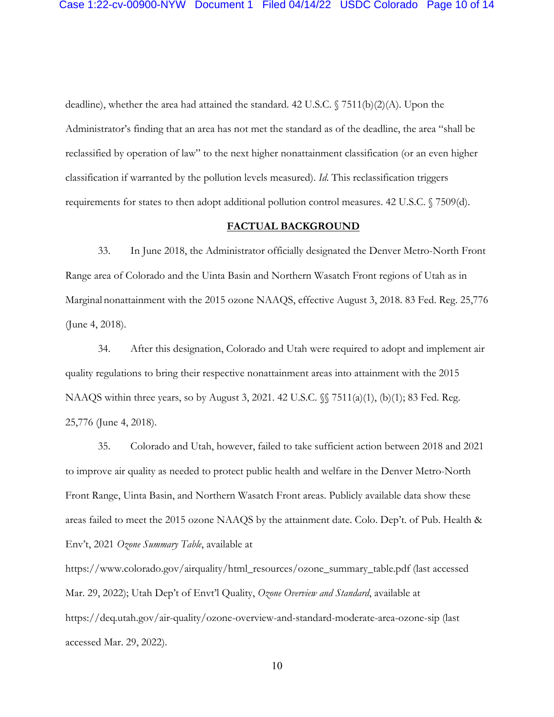deadline), whether the area had attained the standard. 42 U.S.C. § 7511(b)(2)(A). Upon the Administrator's finding that an area has not met the standard as of the deadline, the area "shall be reclassified by operation of law" to the next higher nonattainment classification (or an even higher classification if warranted by the pollution levels measured). *Id*. This reclassification triggers requirements for states to then adopt additional pollution control measures. 42 U.S.C. § 7509(d).

# **FACTUAL BACKGROUND**

33. In June 2018, the Administrator officially designated the Denver Metro-North Front Range area of Colorado and the Uinta Basin and Northern Wasatch Front regions of Utah as in Marginal nonattainment with the 2015 ozone NAAQS, effective August 3, 2018. 83 Fed. Reg. 25,776 (June 4, 2018).

34. After this designation, Colorado and Utah were required to adopt and implement air quality regulations to bring their respective nonattainment areas into attainment with the 2015 NAAQS within three years, so by August 3, 2021. 42 U.S.C. §§ 7511(a)(1), (b)(1); 83 Fed. Reg. 25,776 (June 4, 2018).

35. Colorado and Utah, however, failed to take sufficient action between 2018 and 2021 to improve air quality as needed to protect public health and welfare in the Denver Metro-North Front Range, Uinta Basin, and Northern Wasatch Front areas. Publicly available data show these areas failed to meet the 2015 ozone NAAQS by the attainment date. Colo. Dep't. of Pub. Health & Env't, 2021 *Ozone Summary Table*, available at

https://www.colorado.gov/airquality/html\_resources/ozone\_summary\_table.pdf (last accessed Mar. 29, 2022); Utah Dep't of Envt'l Quality, *Ozone Overview and Standard*, available at https://deq.utah.gov/air-quality/ozone-overview-and-standard-moderate-area-ozone-sip (last accessed Mar. 29, 2022).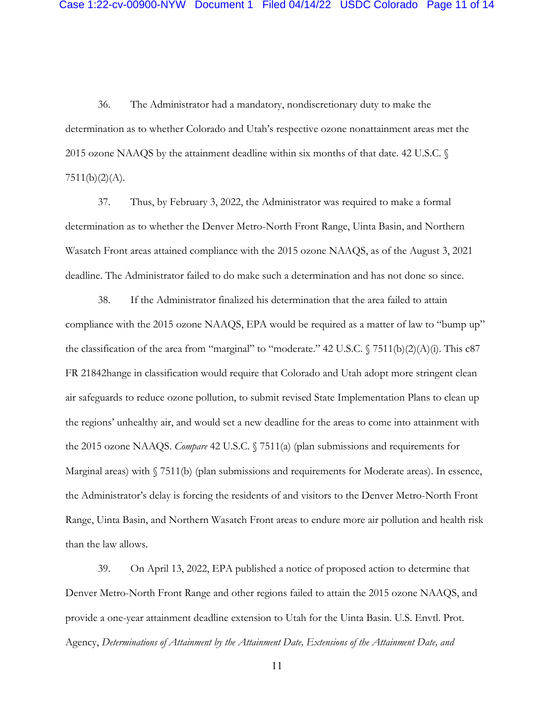36. The Administrator had a mandatory, nondiscretionary duty to make the determination as to whether Colorado and Utah's respective ozone nonattainment areas met the 2015 ozone NAAQS by the attainment deadline within six months of that date. 42 U.S.C. §  $7511(b)(2)(A)$ .

37. Thus, by February 3, 2022, the Administrator was required to make a formal determination as to whether the Denver Metro-North Front Range, Uinta Basin, and Northern Wasatch Front areas attained compliance with the 2015 ozone NAAQS, as of the August 3, 2021 deadline. The Administrator failed to do make such a determination and has not done so since.

38. If the Administrator finalized his determination that the area failed to attain compliance with the 2015 ozone NAAQS, EPA would be required as a matter of law to "bump up" the classification of the area from "marginal" to "moderate." 42 U.S.C. § 7511(b)(2)(A)(i). This c87 FR 21842hange in classification would require that Colorado and Utah adopt more stringent clean air safeguards to reduce ozone pollution, to submit revised State Implementation Plans to clean up the regions' unhealthy air, and would set a new deadline for the areas to come into attainment with the 2015 ozone NAAQS. *Compare* 42 U.S.C. § 7511(a) (plan submissions and requirements for Marginal areas) with  $\sqrt{7511(b)}$  (plan submissions and requirements for Moderate areas). In essence, the Administrator's delay is forcing the residents of and visitors to the Denver Metro-North Front Range, Uinta Basin, and Northern Wasatch Front areas to endure more air pollution and health risk than the law allows.

39. On April 13, 2022, EPA published a notice of proposed action to determine that Denver Metro-North Front Range and other regions failed to attain the 2015 ozone NAAQS, and provide a one-year attainment deadline extension to Utah for the Uinta Basin. U.S. Envtl. Prot. Agency, *Determinations of Attainment by the Attainment Date, Extensions of the Attainment Date, and*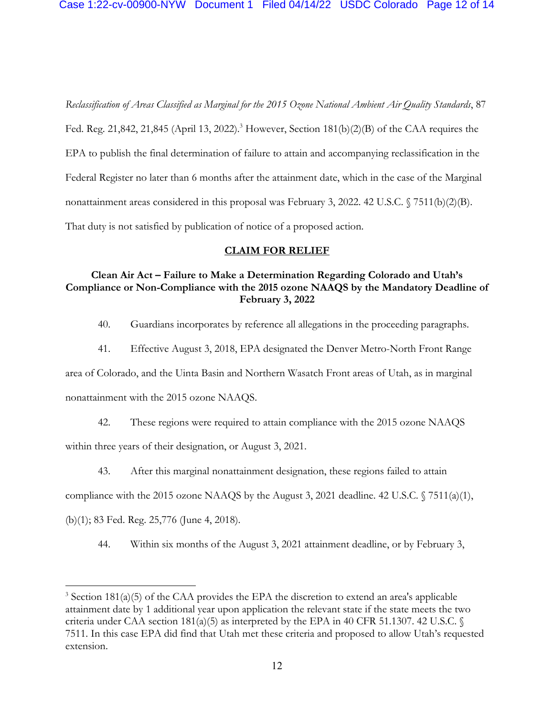*Reclassification of Areas Classified as Marginal for the 2015 Ozone National Ambient Air Quality Standards*, 87 Fed. Reg. 21,842, 21,845 (April 13, 2022). <sup>3</sup> However, Section 181(b)(2)(B) of the CAA requires the EPA to publish the final determination of failure to attain and accompanying reclassification in the Federal Register no later than 6 months after the attainment date, which in the case of the Marginal nonattainment areas considered in this proposal was February 3, 2022. 42 U.S.C. § 7511(b)(2)(B). That duty is not satisfied by publication of notice of a proposed action.

### **CLAIM FOR RELIEF**

# **Clean Air Act – Failure to Make a Determination Regarding Colorado and Utah's Compliance or Non-Compliance with the 2015 ozone NAAQS by the Mandatory Deadline of February 3, 2022**

- 40. Guardians incorporates by reference all allegations in the proceeding paragraphs.
- 41. Effective August 3, 2018, EPA designated the Denver Metro-North Front Range

area of Colorado, and the Uinta Basin and Northern Wasatch Front areas of Utah, as in marginal

nonattainment with the 2015 ozone NAAQS.

42. These regions were required to attain compliance with the 2015 ozone NAAQS

within three years of their designation, or August 3, 2021.

43. After this marginal nonattainment designation, these regions failed to attain

compliance with the 2015 ozone NAAQS by the August 3, 2021 deadline. 42 U.S.C. § 7511(a)(1),

(b)(1); 83 Fed. Reg. 25,776 (June 4, 2018).

44. Within six months of the August 3, 2021 attainment deadline, or by February 3,

 $3$  Section 181(a)(5) of the CAA provides the EPA the discretion to extend an area's applicable attainment date by 1 additional year upon application the relevant state if the state meets the two criteria under CAA section  $181(a)(5)$  as interpreted by the EPA in 40 CFR 51.1307. 42 U.S.C. § 7511. In this case EPA did find that Utah met these criteria and proposed to allow Utah's requested extension.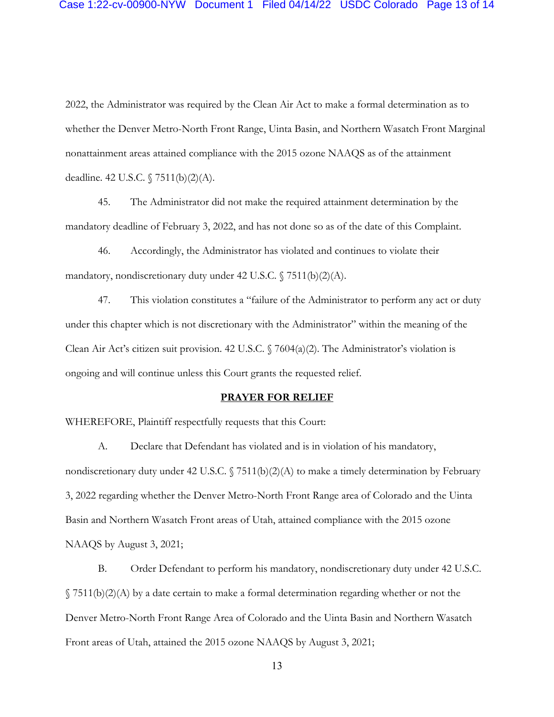2022, the Administrator was required by the Clean Air Act to make a formal determination as to whether the Denver Metro-North Front Range, Uinta Basin, and Northern Wasatch Front Marginal nonattainment areas attained compliance with the 2015 ozone NAAQS as of the attainment deadline. 42 U.S.C. § 7511(b)(2)(A).

45. The Administrator did not make the required attainment determination by the mandatory deadline of February 3, 2022, and has not done so as of the date of this Complaint.

46. Accordingly, the Administrator has violated and continues to violate their mandatory, nondiscretionary duty under 42 U.S.C. § 7511(b)(2)(A).

47. This violation constitutes a "failure of the Administrator to perform any act or duty under this chapter which is not discretionary with the Administrator" within the meaning of the Clean Air Act's citizen suit provision. 42 U.S.C.  $\sqrt{7604(a)(2)}$ . The Administrator's violation is ongoing and will continue unless this Court grants the requested relief.

#### **PRAYER FOR RELIEF**

WHEREFORE, Plaintiff respectfully requests that this Court:

A. Declare that Defendant has violated and is in violation of his mandatory, nondiscretionary duty under 42 U.S.C.  $\sqrt{7511(b)(2)(A)}$  to make a timely determination by February 3, 2022 regarding whether the Denver Metro-North Front Range area of Colorado and the Uinta Basin and Northern Wasatch Front areas of Utah, attained compliance with the 2015 ozone NAAQS by August 3, 2021;

B. Order Defendant to perform his mandatory, nondiscretionary duty under 42 U.S.C.  $\gamma$  7511(b)(2)(A) by a date certain to make a formal determination regarding whether or not the Denver Metro-North Front Range Area of Colorado and the Uinta Basin and Northern Wasatch Front areas of Utah, attained the 2015 ozone NAAQS by August 3, 2021;